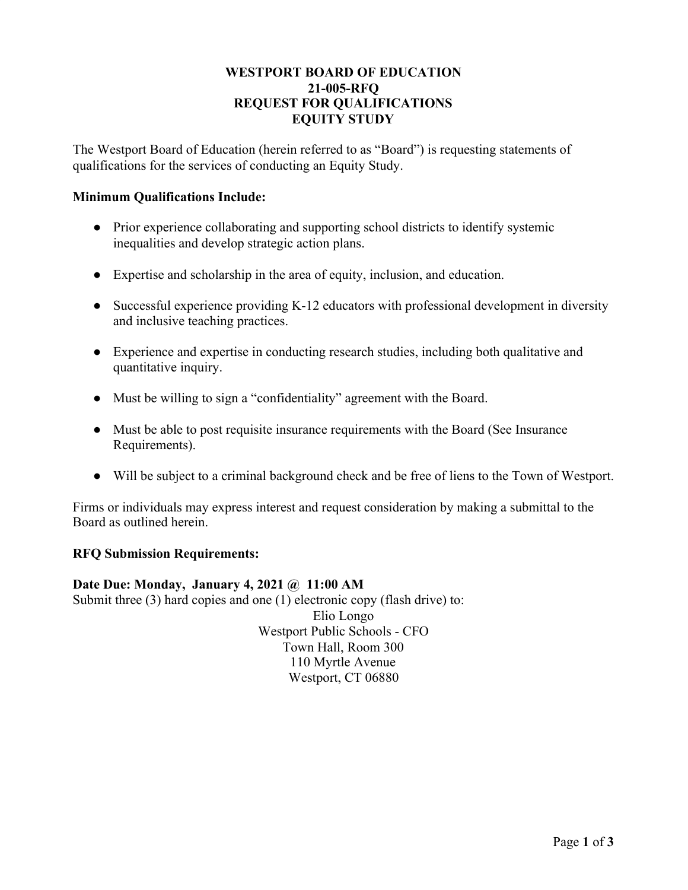### **WESTPORT BOARD OF EDUCATION 21-005-RFQ REQUEST FOR QUALIFICATIONS EQUITY STUDY**

The Westport Board of Education (herein referred to as "Board") is requesting statements of qualifications for the services of conducting an Equity Study.

### **Minimum Qualifications Include:**

- Prior experience collaborating and supporting school districts to identify systemic inequalities and develop strategic action plans.
- Expertise and scholarship in the area of equity, inclusion, and education.
- Successful experience providing K-12 educators with professional development in diversity and inclusive teaching practices.
- Experience and expertise in conducting research studies, including both qualitative and quantitative inquiry.
- Must be willing to sign a "confidentiality" agreement with the Board.
- Must be able to post requisite insurance requirements with the Board (See Insurance Requirements).
- Will be subject to a criminal background check and be free of liens to the Town of Westport.

Firms or individuals may express interest and request consideration by making a submittal to the Board as outlined herein.

#### **RFQ Submission Requirements:**

**Date Due: Monday, January 4, 2021 @ 11:00 AM**

Submit three (3) hard copies and one (1) electronic copy (flash drive) to:

Elio Longo Westport Public Schools - CFO Town Hall, Room 300 110 Myrtle Avenue Westport, CT 06880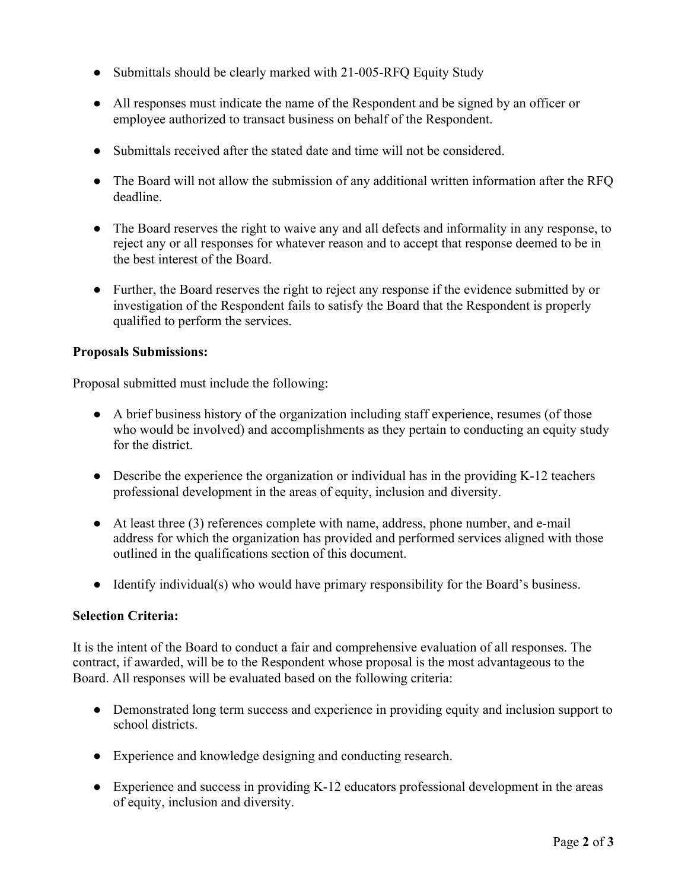- Submittals should be clearly marked with 21-005-RFQ Equity Study
- All responses must indicate the name of the Respondent and be signed by an officer or employee authorized to transact business on behalf of the Respondent.
- Submittals received after the stated date and time will not be considered.
- The Board will not allow the submission of any additional written information after the RFQ deadline.
- The Board reserves the right to waive any and all defects and informality in any response, to reject any or all responses for whatever reason and to accept that response deemed to be in the best interest of the Board.
- Further, the Board reserves the right to reject any response if the evidence submitted by or investigation of the Respondent fails to satisfy the Board that the Respondent is properly qualified to perform the services.

# **Proposals Submissions:**

Proposal submitted must include the following:

- A brief business history of the organization including staff experience, resumes (of those who would be involved) and accomplishments as they pertain to conducting an equity study for the district.
- Describe the experience the organization or individual has in the providing K-12 teachers professional development in the areas of equity, inclusion and diversity.
- At least three (3) references complete with name, address, phone number, and e-mail address for which the organization has provided and performed services aligned with those outlined in the qualifications section of this document.
- Identify individual(s) who would have primary responsibility for the Board's business.

# **Selection Criteria:**

It is the intent of the Board to conduct a fair and comprehensive evaluation of all responses. The contract, if awarded, will be to the Respondent whose proposal is the most advantageous to the Board. All responses will be evaluated based on the following criteria:

- Demonstrated long term success and experience in providing equity and inclusion support to school districts.
- Experience and knowledge designing and conducting research.
- Experience and success in providing K-12 educators professional development in the areas of equity, inclusion and diversity.